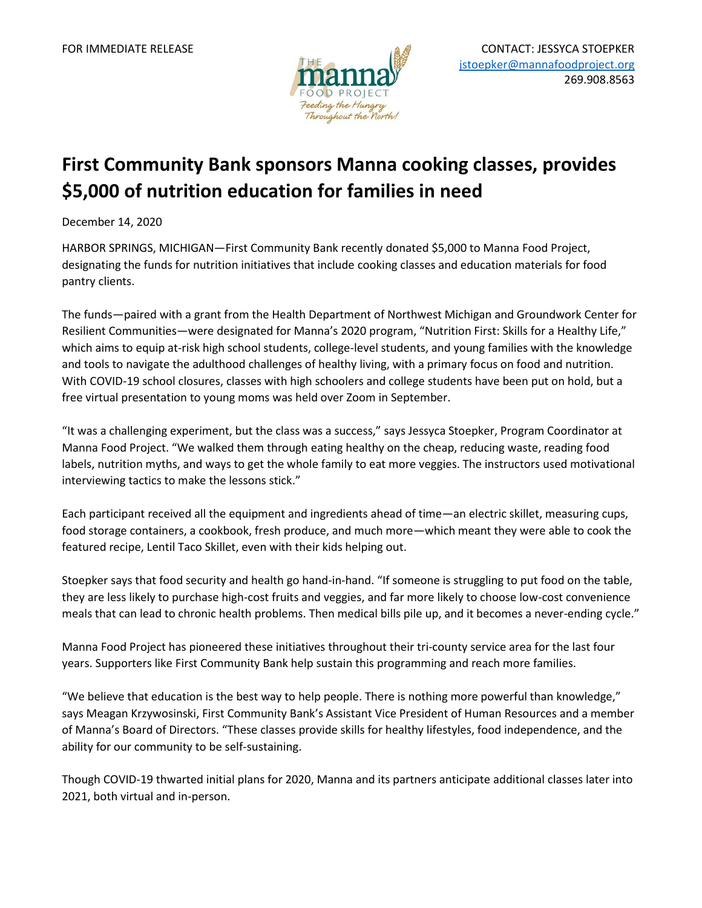

## **First Community Bank sponsors Manna cooking classes, provides \$5,000 of nutrition education for families in need**

December 14, 2020

HARBOR SPRINGS, MICHIGAN—First Community Bank recently donated \$5,000 to Manna Food Project, designating the funds for nutrition initiatives that include cooking classes and education materials for food pantry clients.

The funds—paired with a grant from the Health Department of Northwest Michigan and Groundwork Center for Resilient Communities—were designated for Manna's 2020 program, "Nutrition First: Skills for a Healthy Life," which aims to equip at-risk high school students, college-level students, and young families with the knowledge and tools to navigate the adulthood challenges of healthy living, with a primary focus on food and nutrition. With COVID-19 school closures, classes with high schoolers and college students have been put on hold, but a free virtual presentation to young moms was held over Zoom in September.

"It was a challenging experiment, but the class was a success," says Jessyca Stoepker, Program Coordinator at Manna Food Project. "We walked them through eating healthy on the cheap, reducing waste, reading food labels, nutrition myths, and ways to get the whole family to eat more veggies. The instructors used motivational interviewing tactics to make the lessons stick."

Each participant received all the equipment and ingredients ahead of time—an electric skillet, measuring cups, food storage containers, a cookbook, fresh produce, and much more—which meant they were able to cook the featured recipe, Lentil Taco Skillet, even with their kids helping out.

Stoepker says that food security and health go hand-in-hand. "If someone is struggling to put food on the table, they are less likely to purchase high-cost fruits and veggies, and far more likely to choose low-cost convenience meals that can lead to chronic health problems. Then medical bills pile up, and it becomes a never-ending cycle."

Manna Food Project has pioneered these initiatives throughout their tri-county service area for the last four years. Supporters like First Community Bank help sustain this programming and reach more families.

"We believe that education is the best way to help people. There is nothing more powerful than knowledge," says Meagan Krzywosinski, First Community Bank's Assistant Vice President of Human Resources and a member of Manna's Board of Directors. "These classes provide skills for healthy lifestyles, food independence, and the ability for our community to be self-sustaining.

Though COVID-19 thwarted initial plans for 2020, Manna and its partners anticipate additional classes later into 2021, both virtual and in-person.